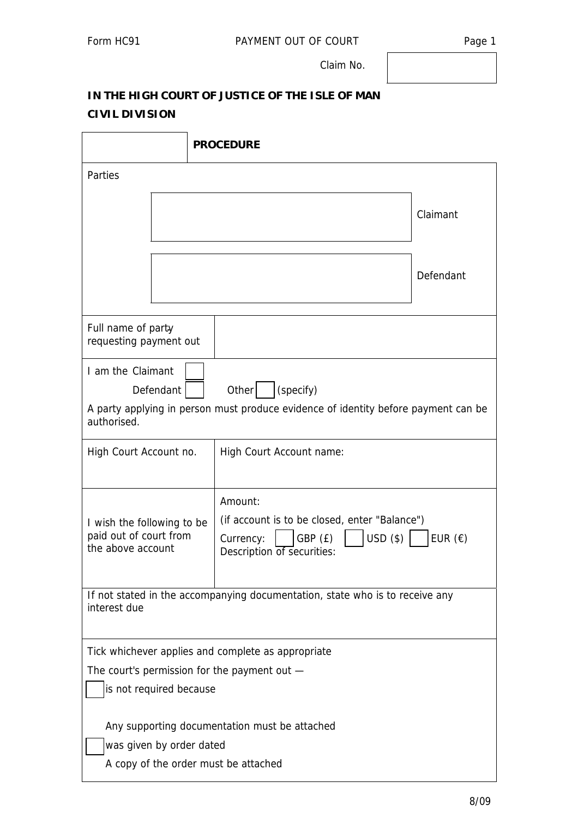Claim No.

## **IN THE HIGH COURT OF JUSTICE OF THE ISLE OF MAN CIVIL DIVISION**

|                                                                                                                                                           |                                                                                                                                                                                                                               | <b>PROCEDURE</b>         |           |  |  |  |  |  |
|-----------------------------------------------------------------------------------------------------------------------------------------------------------|-------------------------------------------------------------------------------------------------------------------------------------------------------------------------------------------------------------------------------|--------------------------|-----------|--|--|--|--|--|
| Parties                                                                                                                                                   |                                                                                                                                                                                                                               |                          |           |  |  |  |  |  |
|                                                                                                                                                           |                                                                                                                                                                                                                               |                          | Claimant  |  |  |  |  |  |
|                                                                                                                                                           |                                                                                                                                                                                                                               |                          | Defendant |  |  |  |  |  |
| Full name of party<br>requesting payment out                                                                                                              |                                                                                                                                                                                                                               |                          |           |  |  |  |  |  |
| I am the Claimant<br>(specify)<br>Other<br>Defendant<br>A party applying in person must produce evidence of identity before payment can be<br>authorised. |                                                                                                                                                                                                                               |                          |           |  |  |  |  |  |
| High Court Account no.                                                                                                                                    |                                                                                                                                                                                                                               | High Court Account name: |           |  |  |  |  |  |
|                                                                                                                                                           | Amount:<br>(if account is to be closed, enter "Balance")<br>I wish the following to be<br>paid out of court from<br>$USD($ \$)<br>GBP (£)<br>EUR $(\epsilon)$<br>Currency:<br>the above account<br>Description of securities: |                          |           |  |  |  |  |  |
| If not stated in the accompanying documentation, state who is to receive any<br>interest due                                                              |                                                                                                                                                                                                                               |                          |           |  |  |  |  |  |
| Tick whichever applies and complete as appropriate<br>The court's permission for the payment out $-$<br>is not required because                           |                                                                                                                                                                                                                               |                          |           |  |  |  |  |  |
| Any supporting documentation must be attached<br>was given by order dated<br>A copy of the order must be attached                                         |                                                                                                                                                                                                                               |                          |           |  |  |  |  |  |